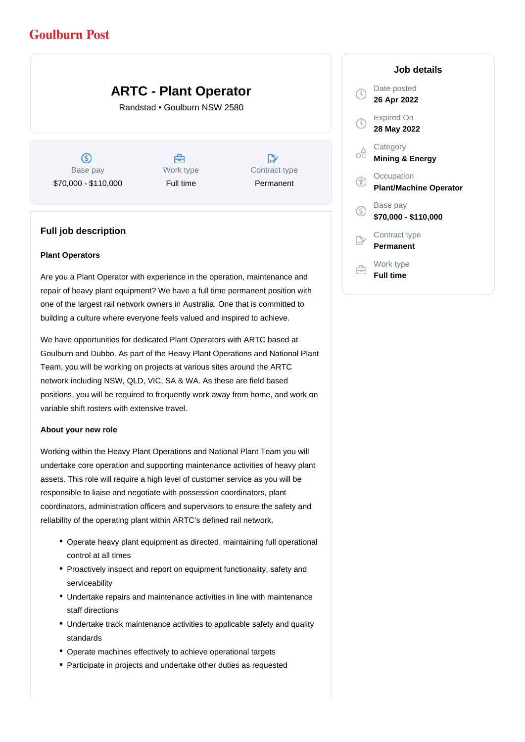# **Goulburn Post**

# **ARTC - Plant Operator**

Randstad • Goulburn NSW 2580

ග Base pay \$70,000 - \$110,000

Å Work type Full time

 $\mathbb{R}^{\circ}$ Contract type Permanent

### **Full job description**

#### **Plant Operators**

Are you a Plant Operator with experience in the operation, maintenance and repair of heavy plant equipment? We have a full time permanent position with one of the largest rail network owners in Australia. One that is committed to building a culture where everyone feels valued and inspired to achieve.

We have opportunities for dedicated Plant Operators with ARTC based at Goulburn and Dubbo. As part of the Heavy Plant Operations and National Plant Team, you will be working on projects at various sites around the ARTC network including NSW, QLD, VIC, SA & WA. As these are field based positions, you will be required to frequently work away from home, and work on variable shift rosters with extensive travel.

#### **About your new role**

Working within the Heavy Plant Operations and National Plant Team you will undertake core operation and supporting maintenance activities of heavy plant assets. This role will require a high level of customer service as you will be responsible to liaise and negotiate with possession coordinators, plant coordinators, administration officers and supervisors to ensure the safety and reliability of the operating plant within ARTC's defined rail network.

- Operate heavy plant equipment as directed, maintaining full operational control at all times
- Proactively inspect and report on equipment functionality, safety and serviceability
- Undertake repairs and maintenance activities in line with maintenance staff directions
- Undertake track maintenance activities to applicable safety and quality standards
- Operate machines effectively to achieve operational targets
- Participate in projects and undertake other duties as requested

### **Job details**